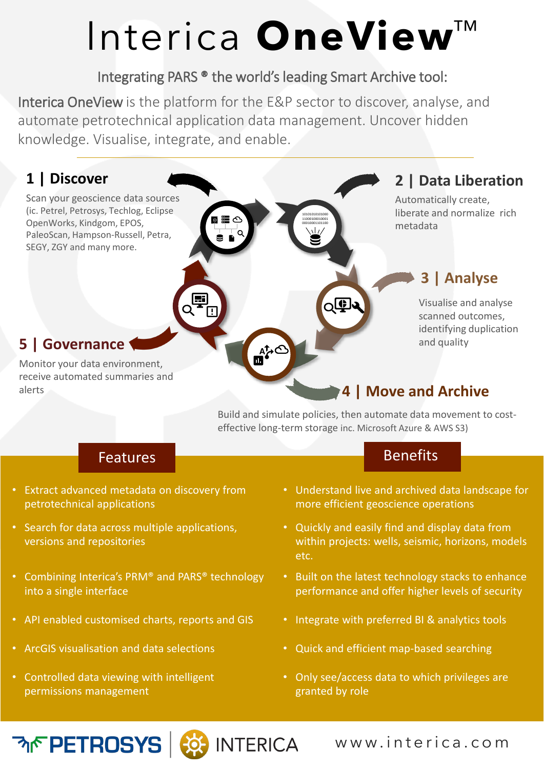# Interica **OneView**™

10101010101000 11000100010001 00010001101100

৻ৄ৾ড়ৗৢৢঽ

#### Integrating PARS ® the world's leading Smart Archive tool:

Interica OneView is the platform for the E&P sector to discover, analyse, and automate petrotechnical application data management. Uncover hidden knowledge. Visualise, integrate, and enable.

Œ

### **1 | Discover**

Scan your geoscience data sources (ic. Petrel, Petrosys, Techlog, Eclipse OpenWorks, Kindgom, EPOS, PaleoScan, Hampson-Russell, Petra, SEGY, ZGY and many more.

### **2 | Data Liberation**

Automatically create, liberate and normalize rich metadata

### **3 | Analyse**

Visualise and analyse scanned outcomes, identifying duplication and quality

### **5 | Governance**

Monitor your data environment, receive automated summaries and alerts

#### **4 | Move and Archive**

Build and simulate policies, then automate data movement to costeffective long-term storage inc. Microsoft Azure & AWS S3)

- Extract advanced metadata on discovery from petrotechnical applications
- Search for data across multiple applications, versions and repositories
- Combining Interica's PRM® and PARS® technology into a single interface
- API enabled customised charts, reports and GIS Integrate with preferred BI & analytics tools

**ৰ্কি: INTERICA** 

- 
- Controlled data viewing with intelligent permissions management

#### Features **Benefits**

- Understand live and archived data landscape for more efficient geoscience operations
- Quickly and easily find and display data from within projects: wells, seismic, horizons, models etc.
- Built on the latest technology stacks to enhance performance and offer higher levels of security
- 
- ArcGIS visualisation and data selections Quick and efficient map-based searching
	- Only see/access data to which privileges are granted by role

www.interica.com